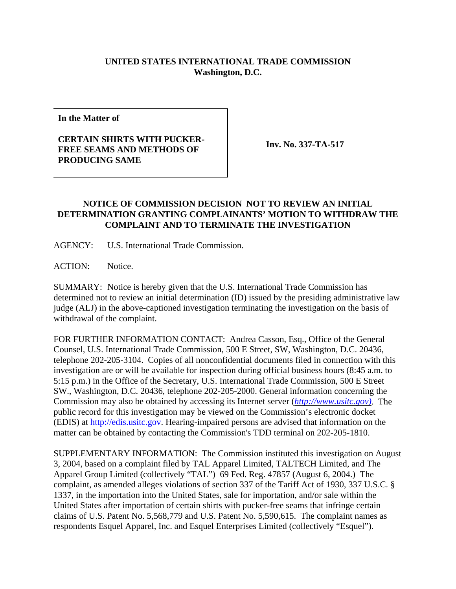## **UNITED STATES INTERNATIONAL TRADE COMMISSION Washington, D.C.**

**In the Matter of**

## **CERTAIN SHIRTS WITH PUCKER-FREE SEAMS AND METHODS OF PRODUCING SAME**

**Inv. No. 337-TA-517**

## **NOTICE OF COMMISSION DECISION NOT TO REVIEW AN INITIAL DETERMINATION GRANTING COMPLAINANTS' MOTION TO WITHDRAW THE COMPLAINT AND TO TERMINATE THE INVESTIGATION**

AGENCY: U.S. International Trade Commission.

ACTION: Notice.

SUMMARY: Notice is hereby given that the U.S. International Trade Commission has determined not to review an initial determination (ID) issued by the presiding administrative law judge (ALJ) in the above-captioned investigation terminating the investigation on the basis of withdrawal of the complaint.

FOR FURTHER INFORMATION CONTACT: Andrea Casson, Esq., Office of the General Counsel, U.S. International Trade Commission, 500 E Street, SW, Washington, D.C. 20436, telephone 202-205-3104. Copies of all nonconfidential documents filed in connection with this investigation are or will be available for inspection during official business hours (8:45 a.m. to 5:15 p.m.) in the Office of the Secretary, U.S. International Trade Commission, 500 E Street SW., Washington, D.C. 20436, telephone 202-205-2000. General information concerning the Commission may also be obtained by accessing its Internet server (*http://www.usitc.gov)*. The public record for this investigation may be viewed on the Commission's electronic docket (EDIS) at http://edis.usitc.gov. Hearing-impaired persons are advised that information on the matter can be obtained by contacting the Commission's TDD terminal on 202-205-1810.

SUPPLEMENTARY INFORMATION: The Commission instituted this investigation on August 3, 2004, based on a complaint filed by TAL Apparel Limited, TALTECH Limited, and The Apparel Group Limited (collectively "TAL") 69 Fed. Reg. 47857 (August 6, 2004.) The complaint, as amended alleges violations of section 337 of the Tariff Act of 1930, 337 U.S.C. § 1337, in the importation into the United States, sale for importation, and/or sale within the United States after importation of certain shirts with pucker-free seams that infringe certain claims of U.S. Patent No. 5,568,779 and U.S. Patent No. 5,590,615. The complaint names as respondents Esquel Apparel, Inc. and Esquel Enterprises Limited (collectively "Esquel").